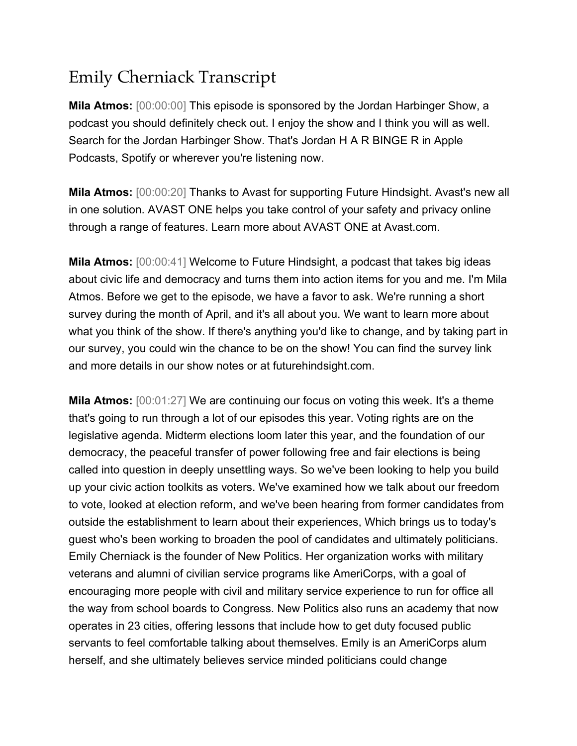## Emily Cherniack Transcript

**Mila Atmos:** [00:00:00] This episode is sponsored by the Jordan Harbinger Show, a podcast you should definitely check out. I enjoy the show and I think you will as well. Search for the Jordan Harbinger Show. That's Jordan H A R BINGE R in Apple Podcasts, Spotify or wherever you're listening now.

**Mila Atmos:** [00:00:20] Thanks to Avast for supporting Future Hindsight. Avast's new all in one solution. AVAST ONE helps you take control of your safety and privacy online through a range of features. Learn more about AVAST ONE at Avast.com.

**Mila Atmos:** [00:00:41] Welcome to Future Hindsight, a podcast that takes big ideas about civic life and democracy and turns them into action items for you and me. I'm Mila Atmos. Before we get to the episode, we have a favor to ask. We're running a short survey during the month of April, and it's all about you. We want to learn more about what you think of the show. If there's anything you'd like to change, and by taking part in our survey, you could win the chance to be on the show! You can find the survey link and more details in our show notes or at futurehindsight.com.

**Mila Atmos:** [00:01:27] We are continuing our focus on voting this week. It's a theme that's going to run through a lot of our episodes this year. Voting rights are on the legislative agenda. Midterm elections loom later this year, and the foundation of our democracy, the peaceful transfer of power following free and fair elections is being called into question in deeply unsettling ways. So we've been looking to help you build up your civic action toolkits as voters. We've examined how we talk about our freedom to vote, looked at election reform, and we've been hearing from former candidates from outside the establishment to learn about their experiences, Which brings us to today's guest who's been working to broaden the pool of candidates and ultimately politicians. Emily Cherniack is the founder of New Politics. Her organization works with military veterans and alumni of civilian service programs like AmeriCorps, with a goal of encouraging more people with civil and military service experience to run for office all the way from school boards to Congress. New Politics also runs an academy that now operates in 23 cities, offering lessons that include how to get duty focused public servants to feel comfortable talking about themselves. Emily is an AmeriCorps alum herself, and she ultimately believes service minded politicians could change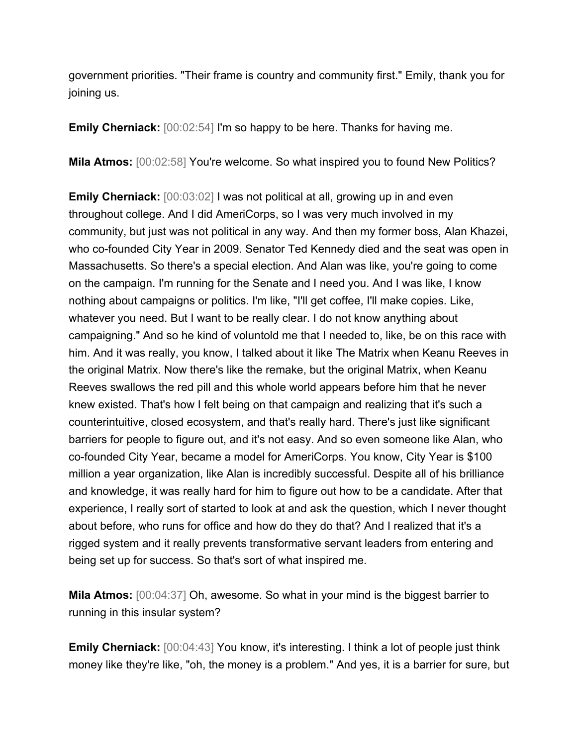government priorities. "Their frame is country and community first." Emily, thank you for joining us.

**Emily Cherniack:** [00:02:54] I'm so happy to be here. Thanks for having me.

**Mila Atmos:**  $[00:02:58]$  You're welcome. So what inspired you to found New Politics?

**Emily Cherniack:** [00:03:02] I was not political at all, growing up in and even throughout college. And I did AmeriCorps, so I was very much involved in my community, but just was not political in any way. And then my former boss, Alan Khazei, who co-founded City Year in 2009. Senator Ted Kennedy died and the seat was open in Massachusetts. So there's a special election. And Alan was like, you're going to come on the campaign. I'm running for the Senate and I need you. And I was like, I know nothing about campaigns or politics. I'm like, "I'll get coffee, I'll make copies. Like, whatever you need. But I want to be really clear. I do not know anything about campaigning." And so he kind of voluntold me that I needed to, like, be on this race with him. And it was really, you know, I talked about it like The Matrix when Keanu Reeves in the original Matrix. Now there's like the remake, but the original Matrix, when Keanu Reeves swallows the red pill and this whole world appears before him that he never knew existed. That's how I felt being on that campaign and realizing that it's such a counterintuitive, closed ecosystem, and that's really hard. There's just like significant barriers for people to figure out, and it's not easy. And so even someone like Alan, who co-founded City Year, became a model for AmeriCorps. You know, City Year is \$100 million a year organization, like Alan is incredibly successful. Despite all of his brilliance and knowledge, it was really hard for him to figure out how to be a candidate. After that experience, I really sort of started to look at and ask the question, which I never thought about before, who runs for office and how do they do that? And I realized that it's a rigged system and it really prevents transformative servant leaders from entering and being set up for success. So that's sort of what inspired me.

**Mila Atmos:** [00:04:37] Oh, awesome. So what in your mind is the biggest barrier to running in this insular system?

**Emily Cherniack:** [00:04:43] You know, it's interesting. I think a lot of people just think money like they're like, "oh, the money is a problem." And yes, it is a barrier for sure, but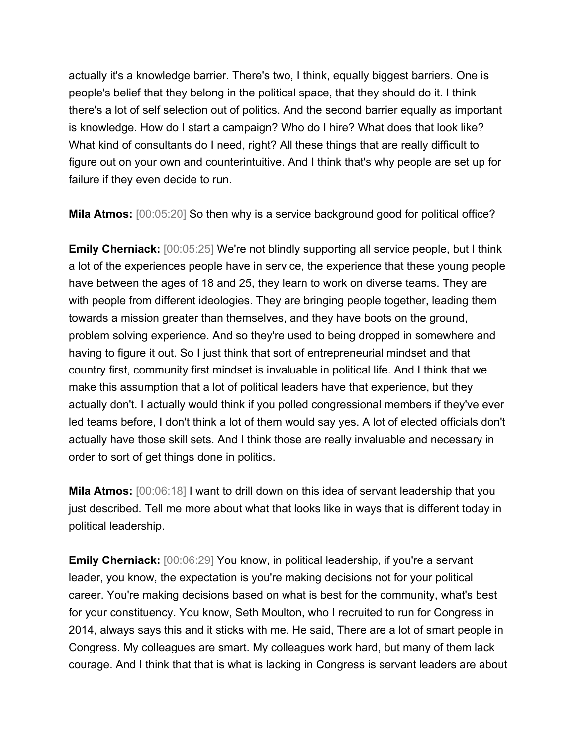actually it's a knowledge barrier. There's two, I think, equally biggest barriers. One is people's belief that they belong in the political space, that they should do it. I think there's a lot of self selection out of politics. And the second barrier equally as important is knowledge. How do I start a campaign? Who do I hire? What does that look like? What kind of consultants do I need, right? All these things that are really difficult to figure out on your own and counterintuitive. And I think that's why people are set up for failure if they even decide to run.

**Mila Atmos:**  $[00:05:20]$  So then why is a service background good for political office?

**Emily Cherniack:** [00:05:25] We're not blindly supporting all service people, but I think a lot of the experiences people have in service, the experience that these young people have between the ages of 18 and 25, they learn to work on diverse teams. They are with people from different ideologies. They are bringing people together, leading them towards a mission greater than themselves, and they have boots on the ground, problem solving experience. And so they're used to being dropped in somewhere and having to figure it out. So I just think that sort of entrepreneurial mindset and that country first, community first mindset is invaluable in political life. And I think that we make this assumption that a lot of political leaders have that experience, but they actually don't. I actually would think if you polled congressional members if they've ever led teams before, I don't think a lot of them would say yes. A lot of elected officials don't actually have those skill sets. And I think those are really invaluable and necessary in order to sort of get things done in politics.

**Mila Atmos:** [00:06:18] I want to drill down on this idea of servant leadership that you just described. Tell me more about what that looks like in ways that is different today in political leadership.

**Emily Cherniack:** [00:06:29] You know, in political leadership, if you're a servant leader, you know, the expectation is you're making decisions not for your political career. You're making decisions based on what is best for the community, what's best for your constituency. You know, Seth Moulton, who I recruited to run for Congress in 2014, always says this and it sticks with me. He said, There are a lot of smart people in Congress. My colleagues are smart. My colleagues work hard, but many of them lack courage. And I think that that is what is lacking in Congress is servant leaders are about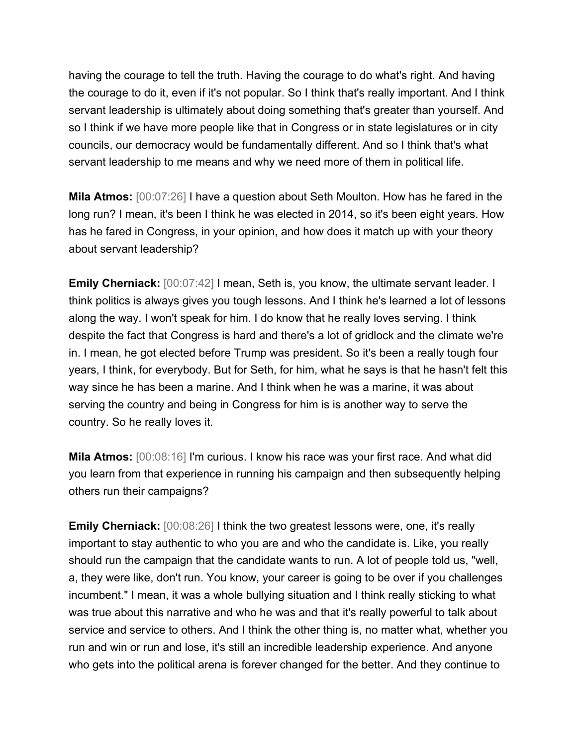having the courage to tell the truth. Having the courage to do what's right. And having the courage to do it, even if it's not popular. So I think that's really important. And I think servant leadership is ultimately about doing something that's greater than yourself. And so I think if we have more people like that in Congress or in state legislatures or in city councils, our democracy would be fundamentally different. And so I think that's what servant leadership to me means and why we need more of them in political life.

**Mila Atmos:** [00:07:26] I have a question about Seth Moulton. How has he fared in the long run? I mean, it's been I think he was elected in 2014, so it's been eight years. How has he fared in Congress, in your opinion, and how does it match up with your theory about servant leadership?

**Emily Cherniack:** [00:07:42] I mean, Seth is, you know, the ultimate servant leader. I think politics is always gives you tough lessons. And I think he's learned a lot of lessons along the way. I won't speak for him. I do know that he really loves serving. I think despite the fact that Congress is hard and there's a lot of gridlock and the climate we're in. I mean, he got elected before Trump was president. So it's been a really tough four years, I think, for everybody. But for Seth, for him, what he says is that he hasn't felt this way since he has been a marine. And I think when he was a marine, it was about serving the country and being in Congress for him is is another way to serve the country. So he really loves it.

**Mila Atmos:** [00:08:16] I'm curious. I know his race was your first race. And what did you learn from that experience in running his campaign and then subsequently helping others run their campaigns?

**Emily Cherniack:** [00:08:26] I think the two greatest lessons were, one, it's really important to stay authentic to who you are and who the candidate is. Like, you really should run the campaign that the candidate wants to run. A lot of people told us, "well, a, they were like, don't run. You know, your career is going to be over if you challenges incumbent." I mean, it was a whole bullying situation and I think really sticking to what was true about this narrative and who he was and that it's really powerful to talk about service and service to others. And I think the other thing is, no matter what, whether you run and win or run and lose, it's still an incredible leadership experience. And anyone who gets into the political arena is forever changed for the better. And they continue to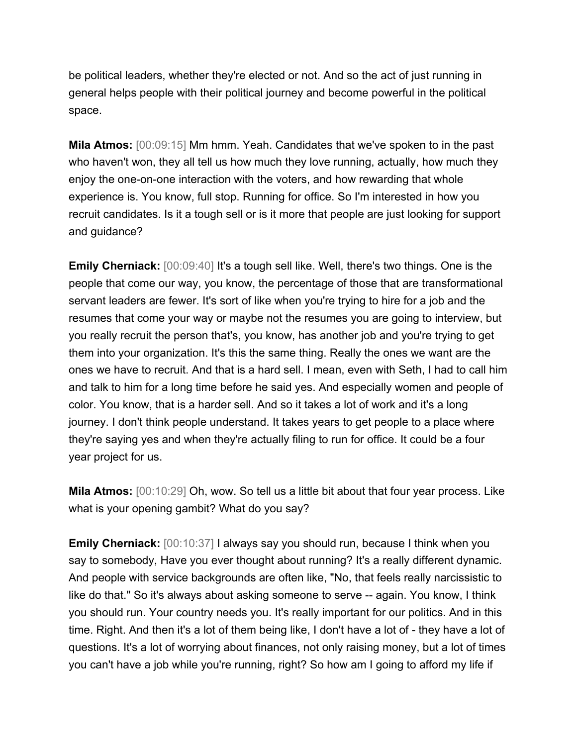be political leaders, whether they're elected or not. And so the act of just running in general helps people with their political journey and become powerful in the political space.

**Mila Atmos:** [00:09:15] Mm hmm. Yeah. Candidates that we've spoken to in the past who haven't won, they all tell us how much they love running, actually, how much they enjoy the one-on-one interaction with the voters, and how rewarding that whole experience is. You know, full stop. Running for office. So I'm interested in how you recruit candidates. Is it a tough sell or is it more that people are just looking for support and guidance?

**Emily Cherniack:** [00:09:40] It's a tough sell like. Well, there's two things. One is the people that come our way, you know, the percentage of those that are transformational servant leaders are fewer. It's sort of like when you're trying to hire for a job and the resumes that come your way or maybe not the resumes you are going to interview, but you really recruit the person that's, you know, has another job and you're trying to get them into your organization. It's this the same thing. Really the ones we want are the ones we have to recruit. And that is a hard sell. I mean, even with Seth, I had to call him and talk to him for a long time before he said yes. And especially women and people of color. You know, that is a harder sell. And so it takes a lot of work and it's a long journey. I don't think people understand. It takes years to get people to a place where they're saying yes and when they're actually filing to run for office. It could be a four year project for us.

**Mila Atmos:** [00:10:29] Oh, wow. So tell us a little bit about that four year process. Like what is your opening gambit? What do you say?

**Emily Cherniack:** [00:10:37] I always say you should run, because I think when you say to somebody, Have you ever thought about running? It's a really different dynamic. And people with service backgrounds are often like, "No, that feels really narcissistic to like do that." So it's always about asking someone to serve -- again. You know, I think you should run. Your country needs you. It's really important for our politics. And in this time. Right. And then it's a lot of them being like, I don't have a lot of - they have a lot of questions. It's a lot of worrying about finances, not only raising money, but a lot of times you can't have a job while you're running, right? So how am I going to afford my life if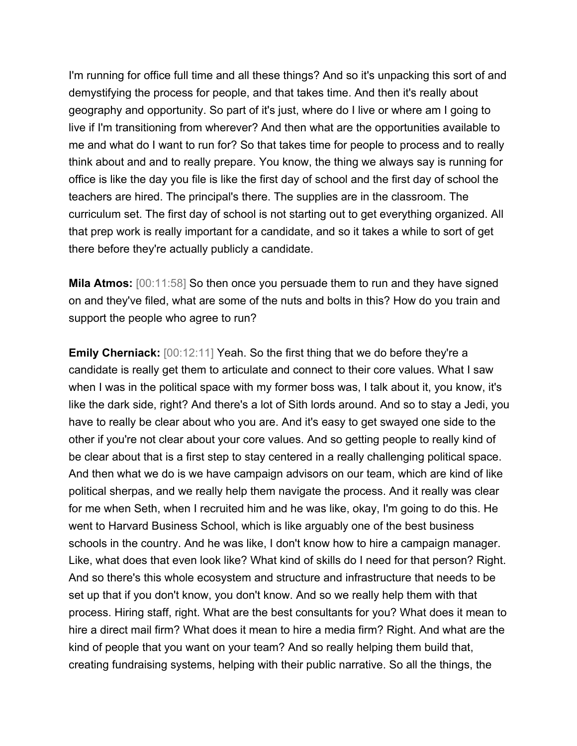I'm running for office full time and all these things? And so it's unpacking this sort of and demystifying the process for people, and that takes time. And then it's really about geography and opportunity. So part of it's just, where do I live or where am I going to live if I'm transitioning from wherever? And then what are the opportunities available to me and what do I want to run for? So that takes time for people to process and to really think about and and to really prepare. You know, the thing we always say is running for office is like the day you file is like the first day of school and the first day of school the teachers are hired. The principal's there. The supplies are in the classroom. The curriculum set. The first day of school is not starting out to get everything organized. All that prep work is really important for a candidate, and so it takes a while to sort of get there before they're actually publicly a candidate.

**Mila Atmos:** [00:11:58] So then once you persuade them to run and they have signed on and they've filed, what are some of the nuts and bolts in this? How do you train and support the people who agree to run?

**Emily Cherniack:** [00:12:11] Yeah. So the first thing that we do before they're a candidate is really get them to articulate and connect to their core values. What I saw when I was in the political space with my former boss was, I talk about it, you know, it's like the dark side, right? And there's a lot of Sith lords around. And so to stay a Jedi, you have to really be clear about who you are. And it's easy to get swayed one side to the other if you're not clear about your core values. And so getting people to really kind of be clear about that is a first step to stay centered in a really challenging political space. And then what we do is we have campaign advisors on our team, which are kind of like political sherpas, and we really help them navigate the process. And it really was clear for me when Seth, when I recruited him and he was like, okay, I'm going to do this. He went to Harvard Business School, which is like arguably one of the best business schools in the country. And he was like, I don't know how to hire a campaign manager. Like, what does that even look like? What kind of skills do I need for that person? Right. And so there's this whole ecosystem and structure and infrastructure that needs to be set up that if you don't know, you don't know. And so we really help them with that process. Hiring staff, right. What are the best consultants for you? What does it mean to hire a direct mail firm? What does it mean to hire a media firm? Right. And what are the kind of people that you want on your team? And so really helping them build that, creating fundraising systems, helping with their public narrative. So all the things, the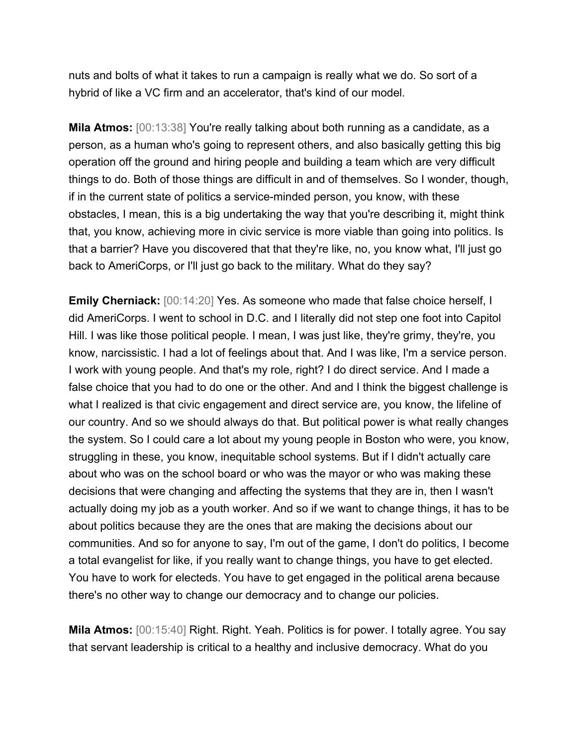nuts and bolts of what it takes to run a campaign is really what we do. So sort of a hybrid of like a VC firm and an accelerator, that's kind of our model.

**Mila Atmos:** [00:13:38] You're really talking about both running as a candidate, as a person, as a human who's going to represent others, and also basically getting this big operation off the ground and hiring people and building a team which are very difficult things to do. Both of those things are difficult in and of themselves. So I wonder, though, if in the current state of politics a service-minded person, you know, with these obstacles, I mean, this is a big undertaking the way that you're describing it, might think that, you know, achieving more in civic service is more viable than going into politics. Is that a barrier? Have you discovered that that they're like, no, you know what, I'll just go back to AmeriCorps, or I'll just go back to the military. What do they say?

**Emily Cherniack:** [00:14:20] Yes. As someone who made that false choice herself, I did AmeriCorps. I went to school in D.C. and I literally did not step one foot into Capitol Hill. I was like those political people. I mean, I was just like, they're grimy, they're, you know, narcissistic. I had a lot of feelings about that. And I was like, I'm a service person. I work with young people. And that's my role, right? I do direct service. And I made a false choice that you had to do one or the other. And and I think the biggest challenge is what I realized is that civic engagement and direct service are, you know, the lifeline of our country. And so we should always do that. But political power is what really changes the system. So I could care a lot about my young people in Boston who were, you know, struggling in these, you know, inequitable school systems. But if I didn't actually care about who was on the school board or who was the mayor or who was making these decisions that were changing and affecting the systems that they are in, then I wasn't actually doing my job as a youth worker. And so if we want to change things, it has to be about politics because they are the ones that are making the decisions about our communities. And so for anyone to say, I'm out of the game, I don't do politics, I become a total evangelist for like, if you really want to change things, you have to get elected. You have to work for electeds. You have to get engaged in the political arena because there's no other way to change our democracy and to change our policies.

**Mila Atmos:** [00:15:40] Right. Right. Yeah. Politics is for power. I totally agree. You say that servant leadership is critical to a healthy and inclusive democracy. What do you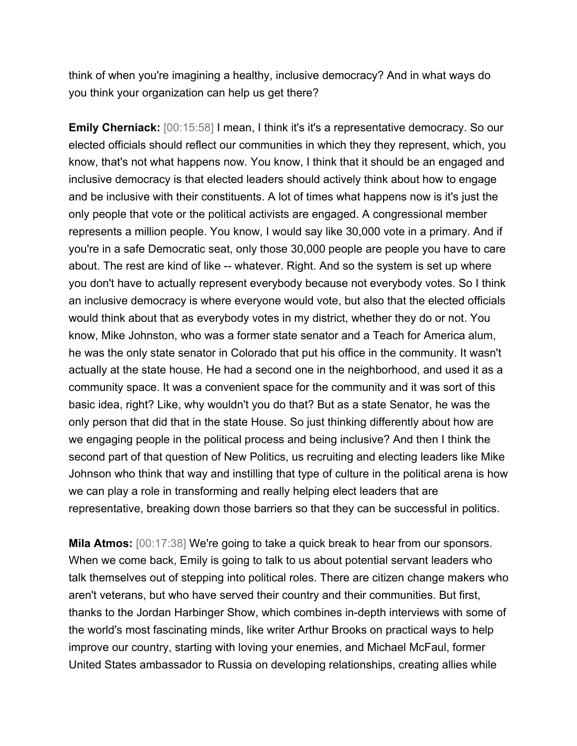think of when you're imagining a healthy, inclusive democracy? And in what ways do you think your organization can help us get there?

**Emily Cherniack:** [00:15:58] I mean, I think it's it's a representative democracy. So our elected officials should reflect our communities in which they they represent, which, you know, that's not what happens now. You know, I think that it should be an engaged and inclusive democracy is that elected leaders should actively think about how to engage and be inclusive with their constituents. A lot of times what happens now is it's just the only people that vote or the political activists are engaged. A congressional member represents a million people. You know, I would say like 30,000 vote in a primary. And if you're in a safe Democratic seat, only those 30,000 people are people you have to care about. The rest are kind of like -- whatever. Right. And so the system is set up where you don't have to actually represent everybody because not everybody votes. So I think an inclusive democracy is where everyone would vote, but also that the elected officials would think about that as everybody votes in my district, whether they do or not. You know, Mike Johnston, who was a former state senator and a Teach for America alum, he was the only state senator in Colorado that put his office in the community. It wasn't actually at the state house. He had a second one in the neighborhood, and used it as a community space. It was a convenient space for the community and it was sort of this basic idea, right? Like, why wouldn't you do that? But as a state Senator, he was the only person that did that in the state House. So just thinking differently about how are we engaging people in the political process and being inclusive? And then I think the second part of that question of New Politics, us recruiting and electing leaders like Mike Johnson who think that way and instilling that type of culture in the political arena is how we can play a role in transforming and really helping elect leaders that are representative, breaking down those barriers so that they can be successful in politics.

**Mila Atmos:** [00:17:38] We're going to take a quick break to hear from our sponsors. When we come back, Emily is going to talk to us about potential servant leaders who talk themselves out of stepping into political roles. There are citizen change makers who aren't veterans, but who have served their country and their communities. But first, thanks to the Jordan Harbinger Show, which combines in-depth interviews with some of the world's most fascinating minds, like writer Arthur Brooks on practical ways to help improve our country, starting with loving your enemies, and Michael McFaul, former United States ambassador to Russia on developing relationships, creating allies while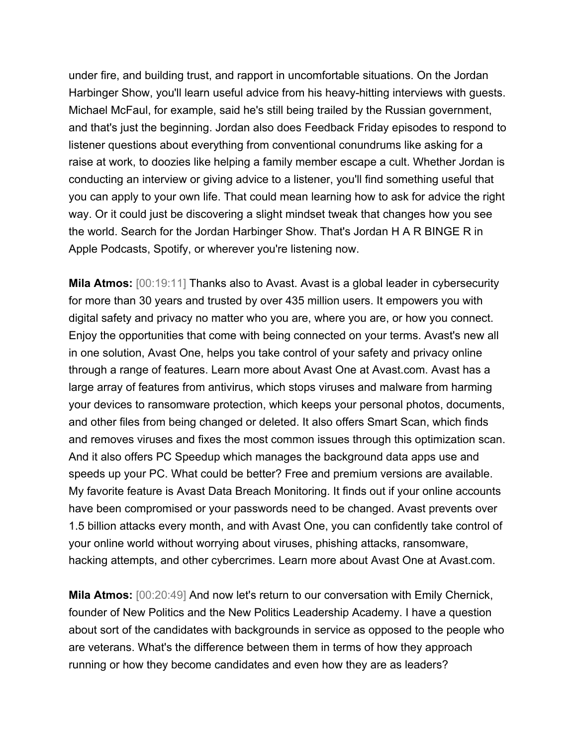under fire, and building trust, and rapport in uncomfortable situations. On the Jordan Harbinger Show, you'll learn useful advice from his heavy-hitting interviews with guests. Michael McFaul, for example, said he's still being trailed by the Russian government, and that's just the beginning. Jordan also does Feedback Friday episodes to respond to listener questions about everything from conventional conundrums like asking for a raise at work, to doozies like helping a family member escape a cult. Whether Jordan is conducting an interview or giving advice to a listener, you'll find something useful that you can apply to your own life. That could mean learning how to ask for advice the right way. Or it could just be discovering a slight mindset tweak that changes how you see the world. Search for the Jordan Harbinger Show. That's Jordan H A R BINGE R in Apple Podcasts, Spotify, or wherever you're listening now.

**Mila Atmos:** [00:19:11] Thanks also to Avast. Avast is a global leader in cybersecurity for more than 30 years and trusted by over 435 million users. It empowers you with digital safety and privacy no matter who you are, where you are, or how you connect. Enjoy the opportunities that come with being connected on your terms. Avast's new all in one solution, Avast One, helps you take control of your safety and privacy online through a range of features. Learn more about Avast One at Avast.com. Avast has a large array of features from antivirus, which stops viruses and malware from harming your devices to ransomware protection, which keeps your personal photos, documents, and other files from being changed or deleted. It also offers Smart Scan, which finds and removes viruses and fixes the most common issues through this optimization scan. And it also offers PC Speedup which manages the background data apps use and speeds up your PC. What could be better? Free and premium versions are available. My favorite feature is Avast Data Breach Monitoring. It finds out if your online accounts have been compromised or your passwords need to be changed. Avast prevents over 1.5 billion attacks every month, and with Avast One, you can confidently take control of your online world without worrying about viruses, phishing attacks, ransomware, hacking attempts, and other cybercrimes. Learn more about Avast One at Avast.com.

**Mila Atmos:** [00:20:49] And now let's return to our conversation with Emily Chernick, founder of New Politics and the New Politics Leadership Academy. I have a question about sort of the candidates with backgrounds in service as opposed to the people who are veterans. What's the difference between them in terms of how they approach running or how they become candidates and even how they are as leaders?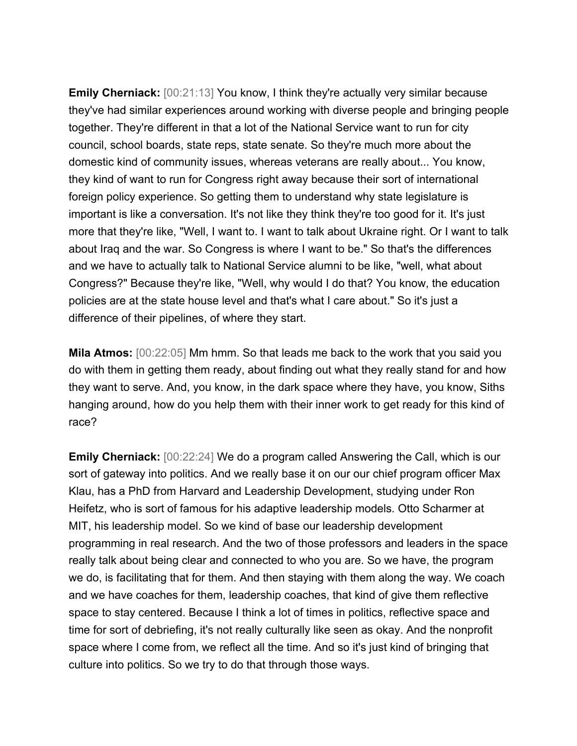**Emily Cherniack:** [00:21:13] You know, I think they're actually very similar because they've had similar experiences around working with diverse people and bringing people together. They're different in that a lot of the National Service want to run for city council, school boards, state reps, state senate. So they're much more about the domestic kind of community issues, whereas veterans are really about... You know, they kind of want to run for Congress right away because their sort of international foreign policy experience. So getting them to understand why state legislature is important is like a conversation. It's not like they think they're too good for it. It's just more that they're like, "Well, I want to. I want to talk about Ukraine right. Or I want to talk about Iraq and the war. So Congress is where I want to be." So that's the differences and we have to actually talk to National Service alumni to be like, "well, what about Congress?" Because they're like, "Well, why would I do that? You know, the education policies are at the state house level and that's what I care about." So it's just a difference of their pipelines, of where they start.

**Mila Atmos:** [00:22:05] Mm hmm. So that leads me back to the work that you said you do with them in getting them ready, about finding out what they really stand for and how they want to serve. And, you know, in the dark space where they have, you know, Siths hanging around, how do you help them with their inner work to get ready for this kind of race?

**Emily Cherniack:** [00:22:24] We do a program called Answering the Call, which is our sort of gateway into politics. And we really base it on our our chief program officer Max Klau, has a PhD from Harvard and Leadership Development, studying under Ron Heifetz, who is sort of famous for his adaptive leadership models. Otto Scharmer at MIT, his leadership model. So we kind of base our leadership development programming in real research. And the two of those professors and leaders in the space really talk about being clear and connected to who you are. So we have, the program we do, is facilitating that for them. And then staying with them along the way. We coach and we have coaches for them, leadership coaches, that kind of give them reflective space to stay centered. Because I think a lot of times in politics, reflective space and time for sort of debriefing, it's not really culturally like seen as okay. And the nonprofit space where I come from, we reflect all the time. And so it's just kind of bringing that culture into politics. So we try to do that through those ways.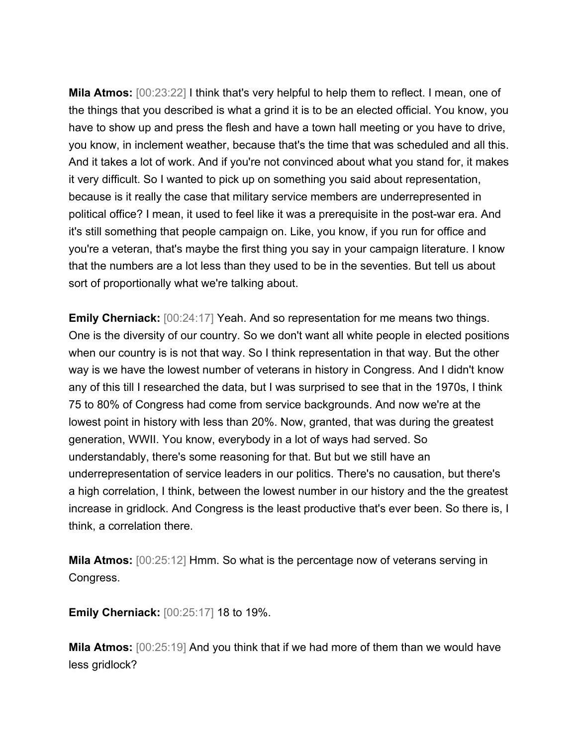**Mila Atmos:**  $[00:23:22]$  I think that's very helpful to help them to reflect. I mean, one of the things that you described is what a grind it is to be an elected official. You know, you have to show up and press the flesh and have a town hall meeting or you have to drive, you know, in inclement weather, because that's the time that was scheduled and all this. And it takes a lot of work. And if you're not convinced about what you stand for, it makes it very difficult. So I wanted to pick up on something you said about representation, because is it really the case that military service members are underrepresented in political office? I mean, it used to feel like it was a prerequisite in the post-war era. And it's still something that people campaign on. Like, you know, if you run for office and you're a veteran, that's maybe the first thing you say in your campaign literature. I know that the numbers are a lot less than they used to be in the seventies. But tell us about sort of proportionally what we're talking about.

**Emily Cherniack:** [00:24:17] Yeah. And so representation for me means two things. One is the diversity of our country. So we don't want all white people in elected positions when our country is is not that way. So I think representation in that way. But the other way is we have the lowest number of veterans in history in Congress. And I didn't know any of this till I researched the data, but I was surprised to see that in the 1970s, I think 75 to 80% of Congress had come from service backgrounds. And now we're at the lowest point in history with less than 20%. Now, granted, that was during the greatest generation, WWII. You know, everybody in a lot of ways had served. So understandably, there's some reasoning for that. But but we still have an underrepresentation of service leaders in our politics. There's no causation, but there's a high correlation, I think, between the lowest number in our history and the the greatest increase in gridlock. And Congress is the least productive that's ever been. So there is, I think, a correlation there.

**Mila Atmos:** [00:25:12] Hmm. So what is the percentage now of veterans serving in Congress.

**Emily Cherniack:** [00:25:17] 18 to 19%.

**Mila Atmos:** [00:25:19] And you think that if we had more of them than we would have less gridlock?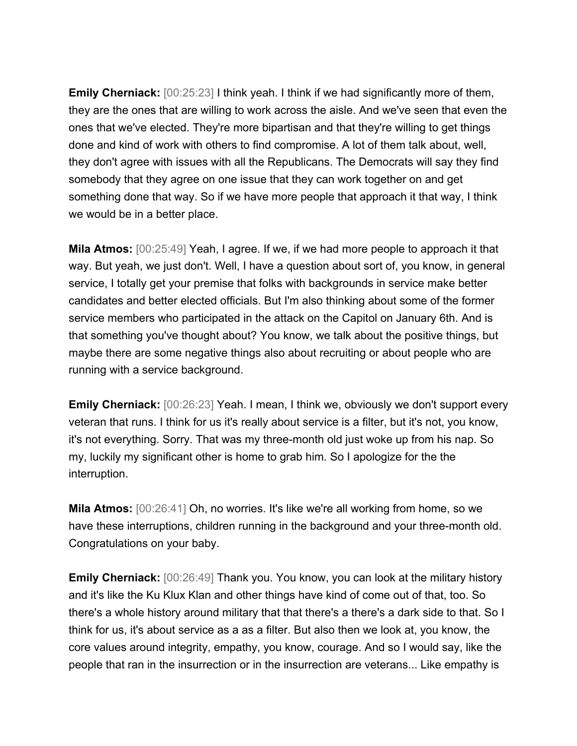**Emily Cherniack:** [00:25:23] I think yeah. I think if we had significantly more of them, they are the ones that are willing to work across the aisle. And we've seen that even the ones that we've elected. They're more bipartisan and that they're willing to get things done and kind of work with others to find compromise. A lot of them talk about, well, they don't agree with issues with all the Republicans. The Democrats will say they find somebody that they agree on one issue that they can work together on and get something done that way. So if we have more people that approach it that way, I think we would be in a better place.

**Mila Atmos:** [00:25:49] Yeah, I agree. If we, if we had more people to approach it that way. But yeah, we just don't. Well, I have a question about sort of, you know, in general service, I totally get your premise that folks with backgrounds in service make better candidates and better elected officials. But I'm also thinking about some of the former service members who participated in the attack on the Capitol on January 6th. And is that something you've thought about? You know, we talk about the positive things, but maybe there are some negative things also about recruiting or about people who are running with a service background.

**Emily Cherniack:** [00:26:23] Yeah. I mean, I think we, obviously we don't support every veteran that runs. I think for us it's really about service is a filter, but it's not, you know, it's not everything. Sorry. That was my three-month old just woke up from his nap. So my, luckily my significant other is home to grab him. So I apologize for the the interruption.

**Mila Atmos:** [00:26:41] Oh, no worries. It's like we're all working from home, so we have these interruptions, children running in the background and your three-month old. Congratulations on your baby.

**Emily Cherniack:** [00:26:49] Thank you. You know, you can look at the military history and it's like the Ku Klux Klan and other things have kind of come out of that, too. So there's a whole history around military that that there's a there's a dark side to that. So I think for us, it's about service as a as a filter. But also then we look at, you know, the core values around integrity, empathy, you know, courage. And so I would say, like the people that ran in the insurrection or in the insurrection are veterans... Like empathy is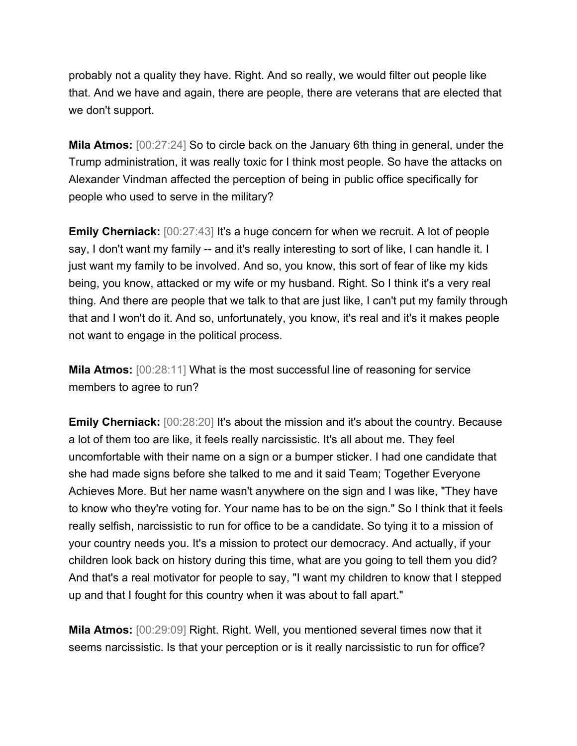probably not a quality they have. Right. And so really, we would filter out people like that. And we have and again, there are people, there are veterans that are elected that we don't support.

**Mila Atmos:** [00:27:24] So to circle back on the January 6th thing in general, under the Trump administration, it was really toxic for I think most people. So have the attacks on Alexander Vindman affected the perception of being in public office specifically for people who used to serve in the military?

**Emily Cherniack:** [00:27:43] It's a huge concern for when we recruit. A lot of people say, I don't want my family -- and it's really interesting to sort of like, I can handle it. I just want my family to be involved. And so, you know, this sort of fear of like my kids being, you know, attacked or my wife or my husband. Right. So I think it's a very real thing. And there are people that we talk to that are just like, I can't put my family through that and I won't do it. And so, unfortunately, you know, it's real and it's it makes people not want to engage in the political process.

**Mila Atmos:** [00:28:11] What is the most successful line of reasoning for service members to agree to run?

**Emily Cherniack:** [00:28:20] It's about the mission and it's about the country. Because a lot of them too are like, it feels really narcissistic. It's all about me. They feel uncomfortable with their name on a sign or a bumper sticker. I had one candidate that she had made signs before she talked to me and it said Team; Together Everyone Achieves More. But her name wasn't anywhere on the sign and I was like, "They have to know who they're voting for. Your name has to be on the sign." So I think that it feels really selfish, narcissistic to run for office to be a candidate. So tying it to a mission of your country needs you. It's a mission to protect our democracy. And actually, if your children look back on history during this time, what are you going to tell them you did? And that's a real motivator for people to say, "I want my children to know that I stepped up and that I fought for this country when it was about to fall apart."

**Mila Atmos:** [00:29:09] Right. Right. Well, you mentioned several times now that it seems narcissistic. Is that your perception or is it really narcissistic to run for office?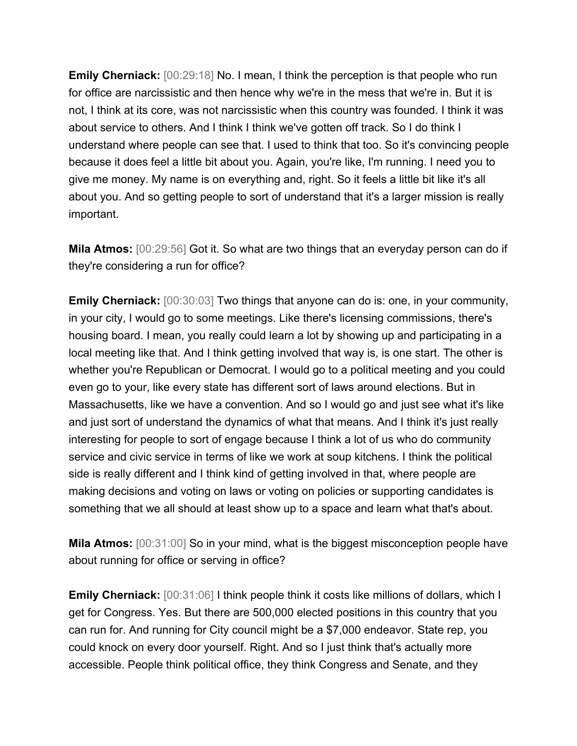**Emily Cherniack:**  $[00:29:18]$  No. I mean, I think the perception is that people who run for office are narcissistic and then hence why we're in the mess that we're in. But it is not, I think at its core, was not narcissistic when this country was founded. I think it was about service to others. And I think I think we've gotten off track. So I do think I understand where people can see that. I used to think that too. So it's convincing people because it does feel a little bit about you. Again, you're like, I'm running. I need you to give me money. My name is on everything and, right. So it feels a little bit like it's all about you. And so getting people to sort of understand that it's a larger mission is really important.

**Mila Atmos:** [00:29:56] Got it. So what are two things that an everyday person can do if they're considering a run for office?

**Emily Cherniack:** [00:30:03] Two things that anyone can do is: one, in your community, in your city, I would go to some meetings. Like there's licensing commissions, there's housing board. I mean, you really could learn a lot by showing up and participating in a local meeting like that. And I think getting involved that way is, is one start. The other is whether you're Republican or Democrat. I would go to a political meeting and you could even go to your, like every state has different sort of laws around elections. But in Massachusetts, like we have a convention. And so I would go and just see what it's like and just sort of understand the dynamics of what that means. And I think it's just really interesting for people to sort of engage because I think a lot of us who do community service and civic service in terms of like we work at soup kitchens. I think the political side is really different and I think kind of getting involved in that, where people are making decisions and voting on laws or voting on policies or supporting candidates is something that we all should at least show up to a space and learn what that's about.

**Mila Atmos:** [00:31:00] So in your mind, what is the biggest misconception people have about running for office or serving in office?

**Emily Cherniack:**  $[00:31:06]$  I think people think it costs like millions of dollars, which I get for Congress. Yes. But there are 500,000 elected positions in this country that you can run for. And running for City council might be a \$7,000 endeavor. State rep, you could knock on every door yourself. Right. And so I just think that's actually more accessible. People think political office, they think Congress and Senate, and they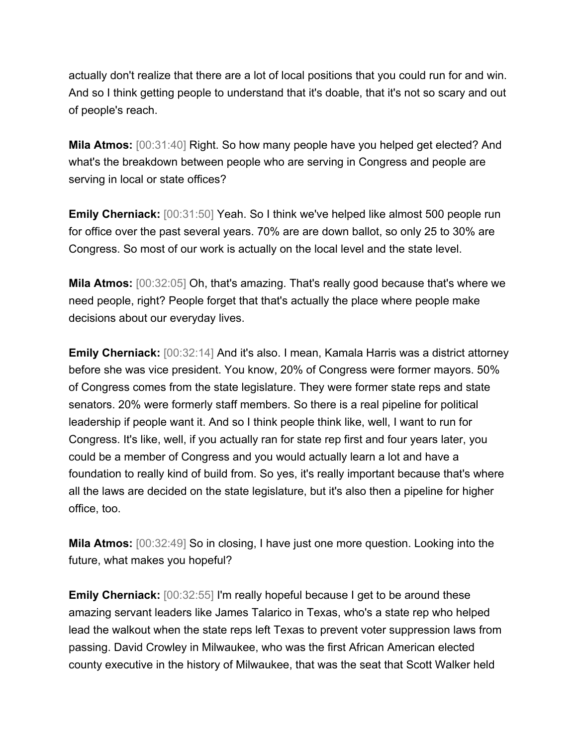actually don't realize that there are a lot of local positions that you could run for and win. And so I think getting people to understand that it's doable, that it's not so scary and out of people's reach.

**Mila Atmos:** [00:31:40] Right. So how many people have you helped get elected? And what's the breakdown between people who are serving in Congress and people are serving in local or state offices?

**Emily Cherniack:** [00:31:50] Yeah. So I think we've helped like almost 500 people run for office over the past several years. 70% are are down ballot, so only 25 to 30% are Congress. So most of our work is actually on the local level and the state level.

**Mila Atmos:** [00:32:05] Oh, that's amazing. That's really good because that's where we need people, right? People forget that that's actually the place where people make decisions about our everyday lives.

**Emily Cherniack:** [00:32:14] And it's also. I mean, Kamala Harris was a district attorney before she was vice president. You know, 20% of Congress were former mayors. 50% of Congress comes from the state legislature. They were former state reps and state senators. 20% were formerly staff members. So there is a real pipeline for political leadership if people want it. And so I think people think like, well, I want to run for Congress. It's like, well, if you actually ran for state rep first and four years later, you could be a member of Congress and you would actually learn a lot and have a foundation to really kind of build from. So yes, it's really important because that's where all the laws are decided on the state legislature, but it's also then a pipeline for higher office, too.

**Mila Atmos:** [00:32:49] So in closing, I have just one more question. Looking into the future, what makes you hopeful?

**Emily Cherniack:** [00:32:55] I'm really hopeful because I get to be around these amazing servant leaders like James Talarico in Texas, who's a state rep who helped lead the walkout when the state reps left Texas to prevent voter suppression laws from passing. David Crowley in Milwaukee, who was the first African American elected county executive in the history of Milwaukee, that was the seat that Scott Walker held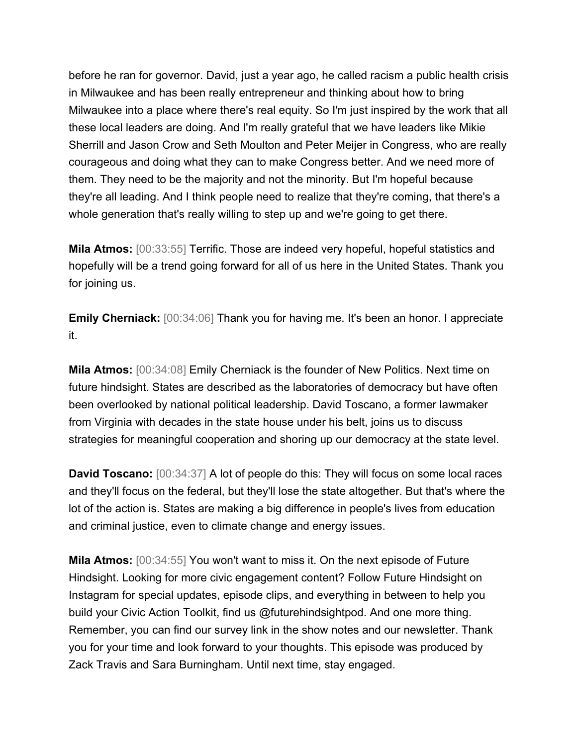before he ran for governor. David, just a year ago, he called racism a public health crisis in Milwaukee and has been really entrepreneur and thinking about how to bring Milwaukee into a place where there's real equity. So I'm just inspired by the work that all these local leaders are doing. And I'm really grateful that we have leaders like Mikie Sherrill and Jason Crow and Seth Moulton and Peter Meijer in Congress, who are really courageous and doing what they can to make Congress better. And we need more of them. They need to be the majority and not the minority. But I'm hopeful because they're all leading. And I think people need to realize that they're coming, that there's a whole generation that's really willing to step up and we're going to get there.

**Mila Atmos:** [00:33:55] Terrific. Those are indeed very hopeful, hopeful statistics and hopefully will be a trend going forward for all of us here in the United States. Thank you for joining us.

**Emily Cherniack:** [00:34:06] Thank you for having me. It's been an honor. I appreciate it.

**Mila Atmos:** [00:34:08] Emily Cherniack is the founder of New Politics. Next time on future hindsight. States are described as the laboratories of democracy but have often been overlooked by national political leadership. David Toscano, a former lawmaker from Virginia with decades in the state house under his belt, joins us to discuss strategies for meaningful cooperation and shoring up our democracy at the state level.

**David Toscano:** [00:34:37] A lot of people do this: They will focus on some local races and they'll focus on the federal, but they'll lose the state altogether. But that's where the lot of the action is. States are making a big difference in people's lives from education and criminal justice, even to climate change and energy issues.

**Mila Atmos:** [00:34:55] You won't want to miss it. On the next episode of Future Hindsight. Looking for more civic engagement content? Follow Future Hindsight on Instagram for special updates, episode clips, and everything in between to help you build your Civic Action Toolkit, find us @futurehindsightpod. And one more thing. Remember, you can find our survey link in the show notes and our newsletter. Thank you for your time and look forward to your thoughts. This episode was produced by Zack Travis and Sara Burningham. Until next time, stay engaged.